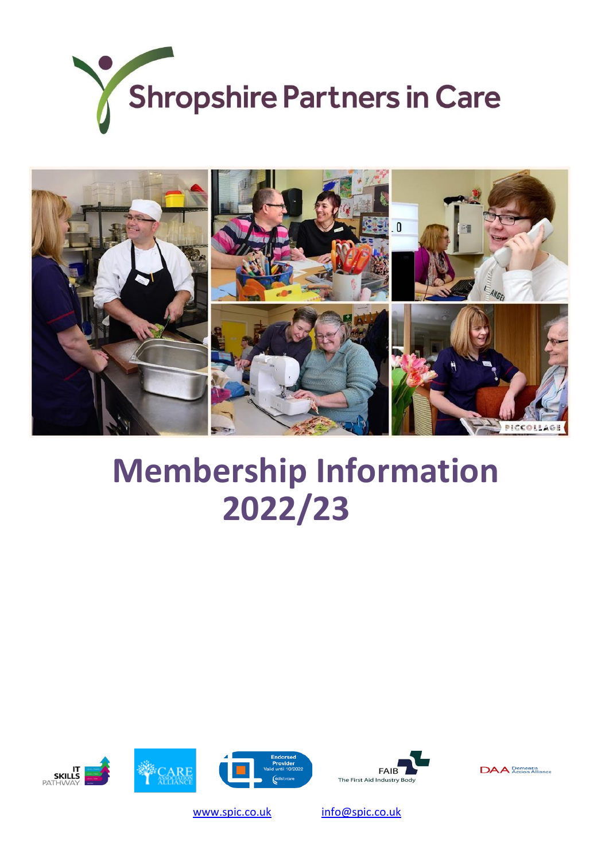



# **Membership Information 2022/23**







**IT<br>SKILLS<br>PATHWAY** 



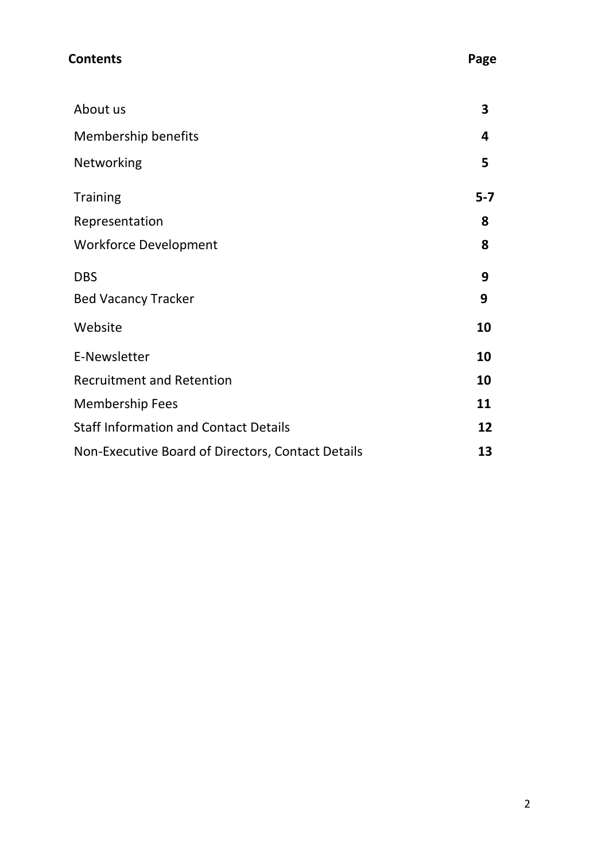| <b>Contents</b>                                   | Page    |
|---------------------------------------------------|---------|
| About us                                          | 3       |
| <b>Membership benefits</b>                        | 4       |
| Networking                                        | 5       |
| <b>Training</b>                                   | $5 - 7$ |
| Representation                                    | 8       |
| <b>Workforce Development</b>                      | 8       |
| <b>DBS</b>                                        | 9       |
| <b>Bed Vacancy Tracker</b>                        | 9       |
| Website                                           | 10      |
| E-Newsletter                                      | 10      |
| <b>Recruitment and Retention</b>                  | 10      |
| <b>Membership Fees</b>                            | 11      |
| <b>Staff Information and Contact Details</b>      | 12      |
| Non-Executive Board of Directors, Contact Details | 13      |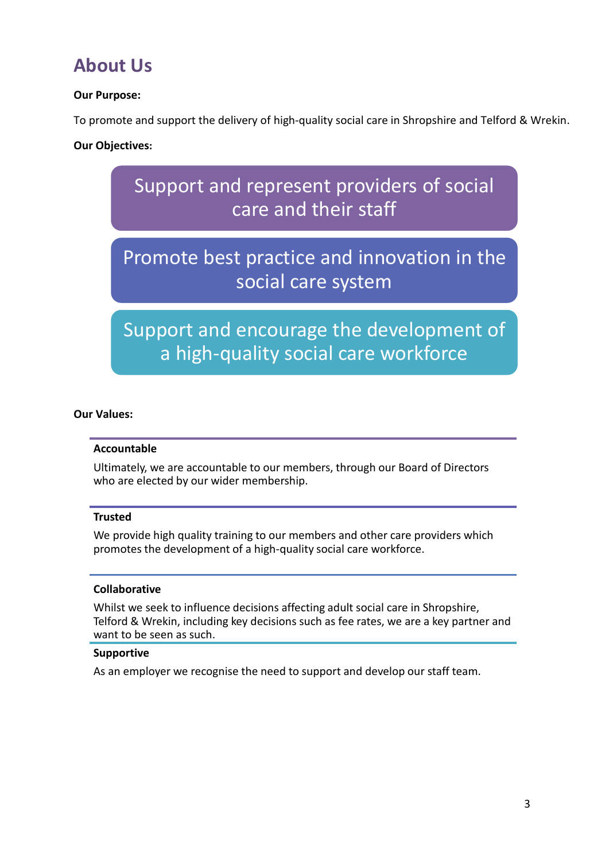### **About Us**

### **Our Purpose:**

To promote and support the delivery of high-quality social care in Shropshire and Telford & Wrekin.

### **Our Objectives:**



### Promote best practice and innovation in the social care system

Support and encourage the development of a high-quality social care workforce

#### **Our Values:**

#### **Accountable**

Ultimately, we are accountable to our members, through our Board of Directors who are elected by our wider membership.

#### **Trusted**

We provide high quality training to our members and other care providers which promotes the development of a high-quality social care workforce.

#### **Collaborative**

Whilst we seek to influence decisions affecting adult social care in Shropshire, Telford & Wrekin, including key decisions such as fee rates, we are a key partner and want to be seen as such.

#### **Supportive**

As an employer we recognise the need to support and develop our staff team.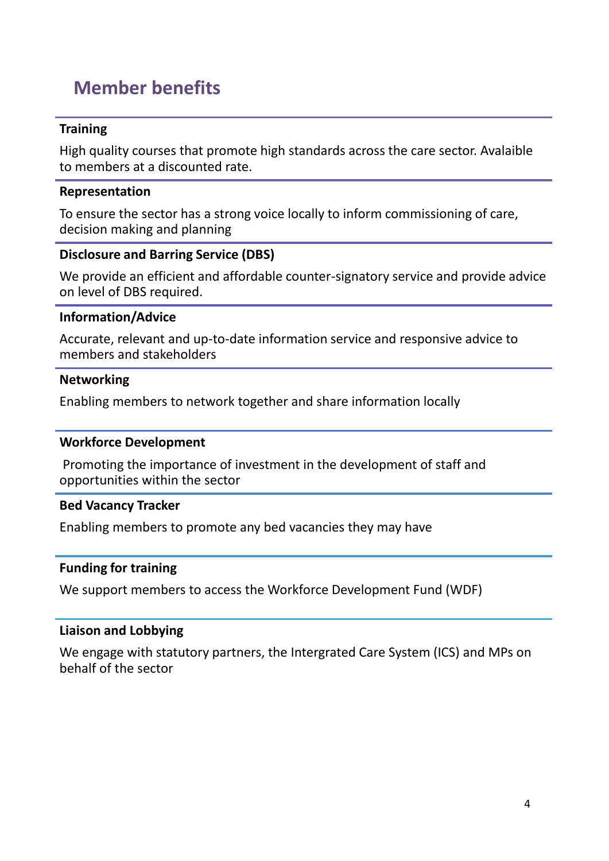### **Member benefits**

### **Training**

High quality courses that promote high standards across the care sector. Avalaible to members at a discounted rate.

### **Representation**

To ensure the sector has a strong voice locally to inform commissioning of care, decision making and planning

### **Disclosure and Barring Service (DBS)**

We provide an efficient and affordable counter-signatory service and provide advice on level of DBS required.

### **Information/Advice**

Accurate, relevant and up-to-date information service and responsive advice to members and stakeholders

### **Networking**

Enabling members to network together and share information locally

### **Workforce Development**

Promoting the importance of investment in the development of staff and opportunities within the sector

### **Bed Vacancy Tracker**

Enabling members to promote any bed vacancies they may have

### **Funding for training**

We support members to access the Workforce Development Fund (WDF)

### **Liaison and Lobbying**

We engage with statutory partners, the Intergrated Care System (ICS) and MPs on behalf of the sector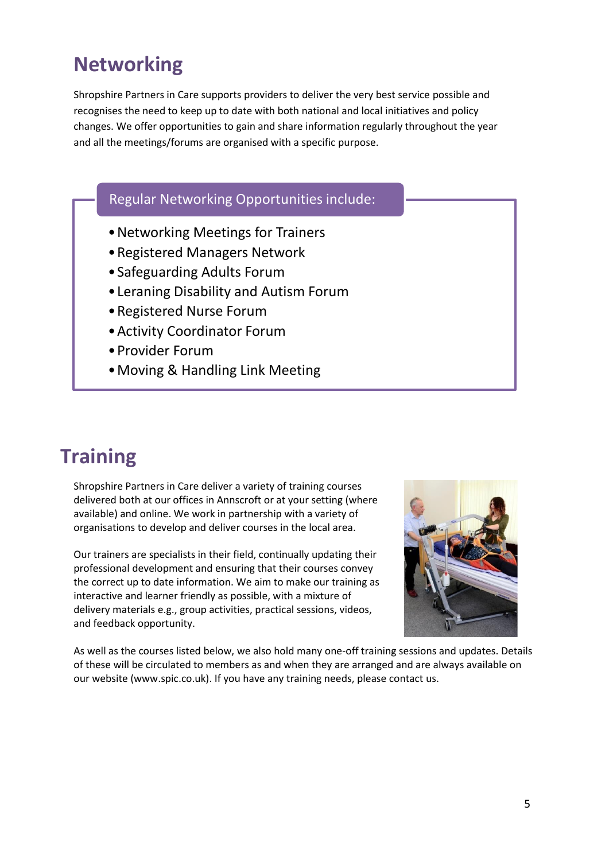# **Networking**

Shropshire Partners in Care supports providers to deliver the very best service possible and recognises the need to keep up to date with both national and local initiatives and policy changes. We offer opportunities to gain and share information regularly throughout the year and all the meetings/forums are organised with a specific purpose.

### Regular Networking Opportunities include:

- •Networking Meetings for Trainers
- •Registered Managers Network
- •Safeguarding Adults Forum
- •Leraning Disability and Autism Forum
- •Registered Nurse Forum
- •Activity Coordinator Forum
- •Provider Forum
- •Moving & Handling Link Meeting

### **Training**

Shropshire Partners in Care deliver a variety of training courses delivered both at our offices in Annscroft or at your setting (where available) and online. We work in partnership with a variety of organisations to develop and deliver courses in the local area.

Our trainers are specialists in their field, continually updating their professional development and ensuring that their courses convey the correct up to date information. We aim to make our training as interactive and learner friendly as possible, with a mixture of delivery materials e.g., group activities, practical sessions, videos, and feedback opportunity.



As well as the courses listed below, we also hold many one-off training sessions and updates. Details of these will be circulated to members as and when they are arranged and are always available on our website (www.spic.co.uk). If you have any training needs, please contact us.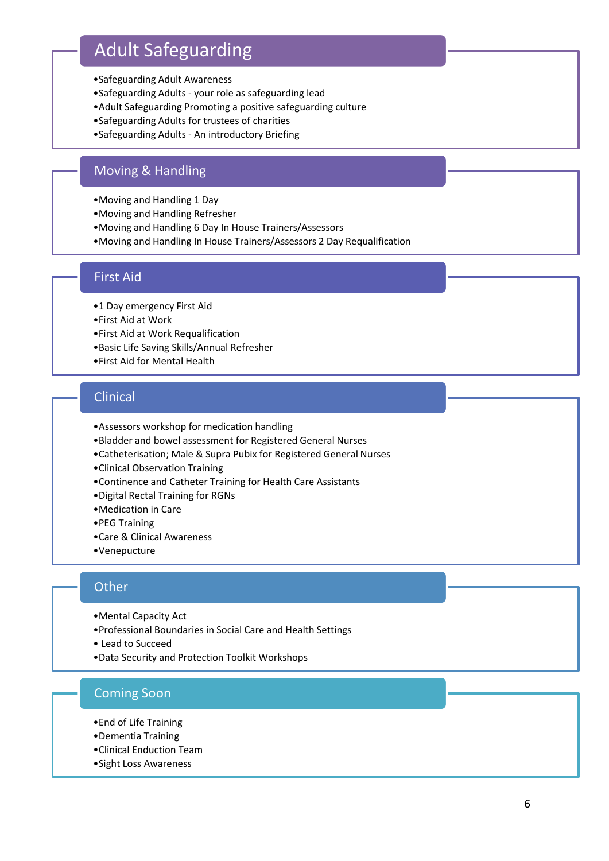### Adult Safeguarding

- •Safeguarding Adult Awareness
- •Safeguarding Adults your role as safeguarding lead
- •Adult Safeguarding Promoting a positive safeguarding culture
- •Safeguarding Adults for trustees of charities
- •Safeguarding Adults An introductory Briefing

### Moving & Handling

- •Moving and Handling 1 Day
- •Moving and Handling Refresher
- •Moving and Handling 6 Day In House Trainers/Assessors
- •Moving and Handling In House Trainers/Assessors 2 Day Requalification

### First Aid

- •1 Day emergency First Aid
- •First Aid at Work
- •First Aid at Work Requalification
- •Basic Life Saving Skills/Annual Refresher
- •First Aid for Mental Health

### Clinical

- •Assessors workshop for medication handling
- •Bladder and bowel assessment for Registered General Nurses
- •Catheterisation; Male & Supra Pubix for Registered General Nurses
- •Clinical Observation Training
- •Continence and Catheter Training for Health Care Assistants
- •Digital Rectal Training for RGNs
- •Medication in Care
- •PEG Training
- •Care & Clinical Awareness
- •Venepucture

#### **Other**

- •Mental Capacity Act
- •Professional Boundaries in Social Care and Health Settings
- Lead to Succeed
- •Data Security and Protection Toolkit Workshops

### Coming Soon

- •End of Life Training
- •Dementia Training
- •Clinical Enduction Team
- •Sight Loss Awareness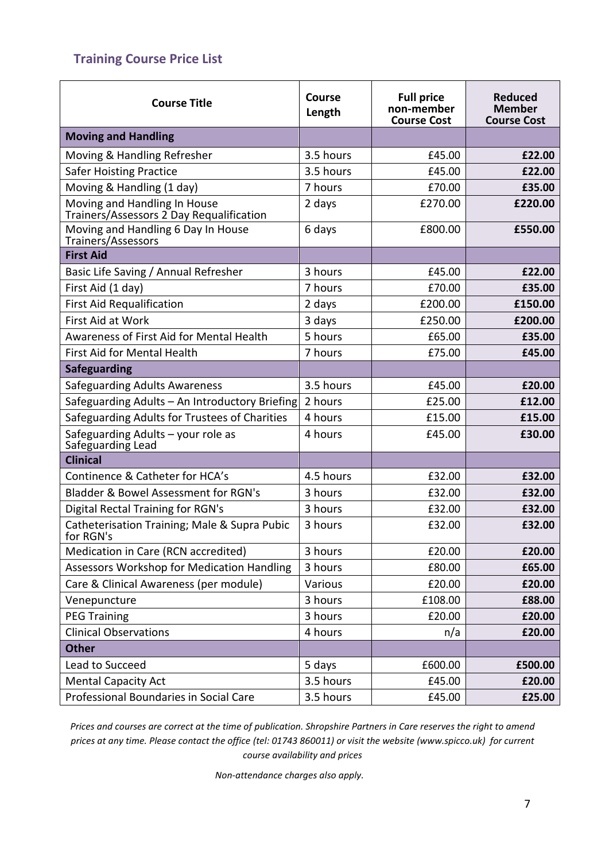### **Training Course Price List**

| <b>Course Title</b>                                                      | Course<br>Length | <b>Full price</b><br>non-member<br><b>Course Cost</b> | <b>Reduced</b><br><b>Member</b><br><b>Course Cost</b> |
|--------------------------------------------------------------------------|------------------|-------------------------------------------------------|-------------------------------------------------------|
| <b>Moving and Handling</b>                                               |                  |                                                       |                                                       |
| Moving & Handling Refresher                                              | 3.5 hours        | £45.00                                                | £22.00                                                |
| <b>Safer Hoisting Practice</b>                                           | 3.5 hours        | £45.00                                                | £22.00                                                |
| Moving & Handling (1 day)                                                | 7 hours          | £70.00                                                | £35.00                                                |
| Moving and Handling In House<br>Trainers/Assessors 2 Day Requalification | 2 days           | £270.00                                               | £220.00                                               |
| Moving and Handling 6 Day In House<br>Trainers/Assessors                 | 6 days           | £800.00                                               | £550.00                                               |
| <b>First Aid</b>                                                         |                  |                                                       |                                                       |
| Basic Life Saving / Annual Refresher                                     | 3 hours          | £45.00                                                | £22.00                                                |
| First Aid (1 day)                                                        | 7 hours          | £70.00                                                | £35.00                                                |
| <b>First Aid Requalification</b>                                         | 2 days           | £200.00                                               | £150.00                                               |
| First Aid at Work                                                        | 3 days           | £250.00                                               | £200.00                                               |
| Awareness of First Aid for Mental Health                                 | 5 hours          | £65.00                                                | £35.00                                                |
| First Aid for Mental Health                                              | 7 hours          | £75.00                                                | £45.00                                                |
| <b>Safeguarding</b>                                                      |                  |                                                       |                                                       |
| <b>Safeguarding Adults Awareness</b>                                     | 3.5 hours        | £45.00                                                | £20.00                                                |
| Safeguarding Adults - An Introductory Briefing                           | 2 hours          | £25.00                                                | £12.00                                                |
| Safeguarding Adults for Trustees of Charities                            | 4 hours          | £15.00                                                | £15.00                                                |
| Safeguarding Adults - your role as<br>Safeguarding Lead                  | 4 hours          | £45.00                                                | £30.00                                                |
| <b>Clinical</b>                                                          |                  |                                                       |                                                       |
| Continence & Catheter for HCA's                                          | 4.5 hours        | £32.00                                                | £32.00                                                |
| <b>Bladder &amp; Bowel Assessment for RGN's</b>                          | 3 hours          | £32.00                                                | £32.00                                                |
| <b>Digital Rectal Training for RGN's</b>                                 | 3 hours          | £32.00                                                | £32.00                                                |
| Catheterisation Training; Male & Supra Pubic<br>for RGN's                | 3 hours          | £32.00                                                | £32.00                                                |
| Medication in Care (RCN accredited)                                      | 3 hours          | £20.00                                                | £20.00                                                |
| <b>Assessors Workshop for Medication Handling</b>                        | 3 hours          | £80.00                                                | £65.00                                                |
| Care & Clinical Awareness (per module)                                   | Various          | £20.00                                                | £20.00                                                |
| Venepuncture                                                             | 3 hours          | £108.00                                               | £88.00                                                |
| <b>PEG Training</b>                                                      | 3 hours          | £20.00                                                | £20.00                                                |
| <b>Clinical Observations</b>                                             | 4 hours          | n/a                                                   | £20.00                                                |
| <b>Other</b>                                                             |                  |                                                       |                                                       |
| Lead to Succeed                                                          | 5 days           | £600.00                                               | £500.00                                               |
| <b>Mental Capacity Act</b>                                               | 3.5 hours        | £45.00                                                | £20.00                                                |
| Professional Boundaries in Social Care                                   | 3.5 hours        | £45.00                                                | £25.00                                                |

*Prices and courses are correct at the time of publication. Shropshire Partners in Care reserves the right to amend prices at any time. Please contact the office (tel: 01743 860011) or visit the website (www.spicco.uk) for current course availability and prices*

*Non-attendance charges also apply.*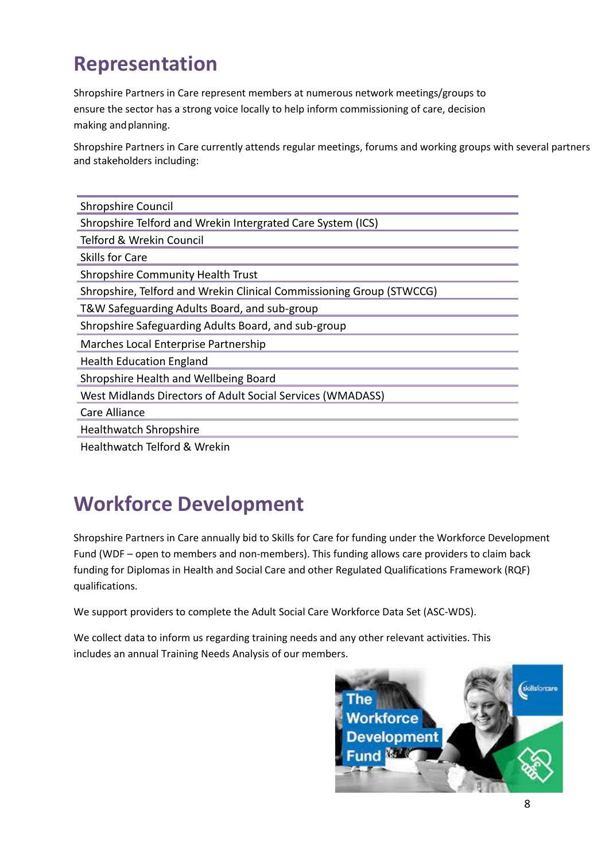# **Representation**

Shropshire Partners in Care represent members at numerous network meetings/groups to ensure the sector has a strong voice locally to help inform commissioning of care, decision making and planning.

Shropshire Partners in Care currently attends regular meetings, forums and working groups with several partners and stakeholders including:

| Shropshire Council                                                   |
|----------------------------------------------------------------------|
| Shropshire Telford and Wrekin Intergrated Care System (ICS)          |
| Telford & Wrekin Council                                             |
| Skills for Care                                                      |
| <b>Shropshire Community Health Trust</b>                             |
| Shropshire, Telford and Wrekin Clinical Commissioning Group (STWCCG) |
| T&W Safeguarding Adults Board, and sub-group                         |
| Shropshire Safeguarding Adults Board, and sub-group                  |
| Marches Local Enterprise Partnership                                 |
| <b>Health Education England</b>                                      |
| Shropshire Health and Wellbeing Board                                |
| West Midlands Directors of Adult Social Services (WMADASS)           |
| Care Alliance                                                        |
| <b>Healthwatch Shropshire</b>                                        |
|                                                                      |

Healthwatch Telford & Wrekin

# **Workforce Development**

Shropshire Partners in Care annually bid to Skills for Care for funding under the Workforce Development Fund (WDF – open to members and non-members). This funding allows care providers to claim back funding for Diplomas in Health and Social Care and other Regulated Qualifications Framework (RQF) qualifications.

We support providers to complete the Adult Social Care Workforce Data Set (ASC-WDS).

We collect data to inform us regarding training needs and any other relevant activities. This includes an annual Training Needs Analysis of our members.

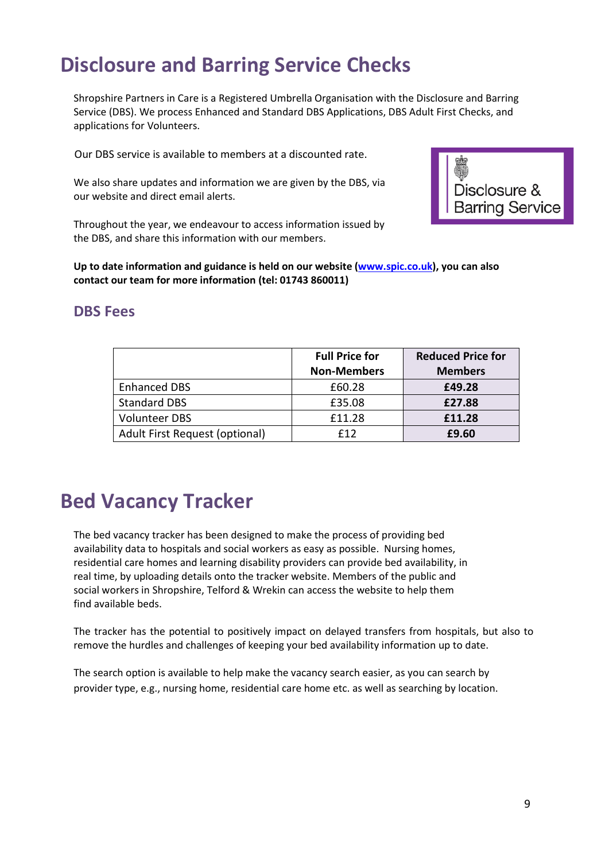# **Disclosure and Barring Service Checks**

Shropshire Partners in Care is a Registered Umbrella Organisation with the Disclosure and Barring Service (DBS). We process Enhanced and Standard DBS Applications, DBS Adult First Checks, and applications for Volunteers.

Our DBS service is available to members at a discounted rate.

We also share updates and information we are given by the DBS, via our website and direct email alerts.



Throughout the year, we endeavour to access information issued by the DBS, and share this information with our members.

**Up to date information and guidance is held on our website [\(www.spic.co.uk\)](http://www.spic.co.uk/), you can also contact our team for more information (tel: 01743 860011)**

### **DBS Fees**

|                                | <b>Full Price for</b><br><b>Non-Members</b> | <b>Reduced Price for</b><br><b>Members</b> |
|--------------------------------|---------------------------------------------|--------------------------------------------|
| <b>Enhanced DBS</b>            | £60.28                                      | £49.28                                     |
| <b>Standard DBS</b>            | £35.08                                      | £27.88                                     |
| <b>Volunteer DBS</b>           | £11.28                                      | £11.28                                     |
| Adult First Request (optional) | f12                                         | £9.60                                      |

# **Bed Vacancy Tracker**

The bed vacancy tracker has been designed to make the process of providing bed availability data to hospitals and social workers as easy as possible. Nursing homes, residential care homes and learning disability providers can provide bed availability, in real time, by uploading details onto the tracker website. Members of the public and social workers in Shropshire, Telford & Wrekin can access the website to help them find available beds.

The tracker has the potential to positively impact on delayed transfers from hospitals, but also to remove the hurdles and challenges of keeping your bed availability information up to date.

The search option is available to help make the vacancy search easier, as you can search by provider type, e.g., nursing home, residential care home etc. as well as searching by location.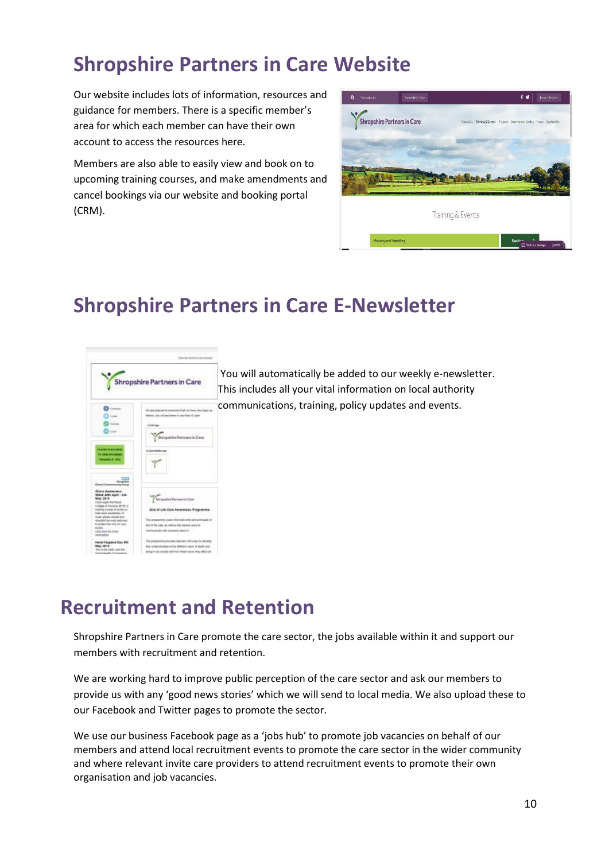# **Shropshire Partners in Care Website**

Our website includes lots of information, resources and guidance for members. There is a specific member's area for which each member can have their own account to access the resources here.

Members are also able to easily view and book on to upcoming training courses, and make amendments and cancel bookings via our website and booking portal (CRM).



# **Shropshire Partners in Care E-Newsletter**



You will automatically be added to our weekly e-newsletter. This includes all your vital information on local authority communications, training, policy updates and events.

# **Recruitment and Retention**

Shropshire Partners in Care promote the care sector, the jobs available within it and support our members with recruitment and retention.

We are working hard to improve public perception of the care sector and ask our members to provide us with any 'good news stories' which we will send to local media. We also upload these to our Facebook and Twitter pages to promote the sector.

We use our business Facebook page as a 'jobs hub' to promote job vacancies on behalf of our members and attend local recruitment events to promote the care sector in the wider community and where relevant invite care providers to attend recruitment events to promote their own organisation and job vacancies.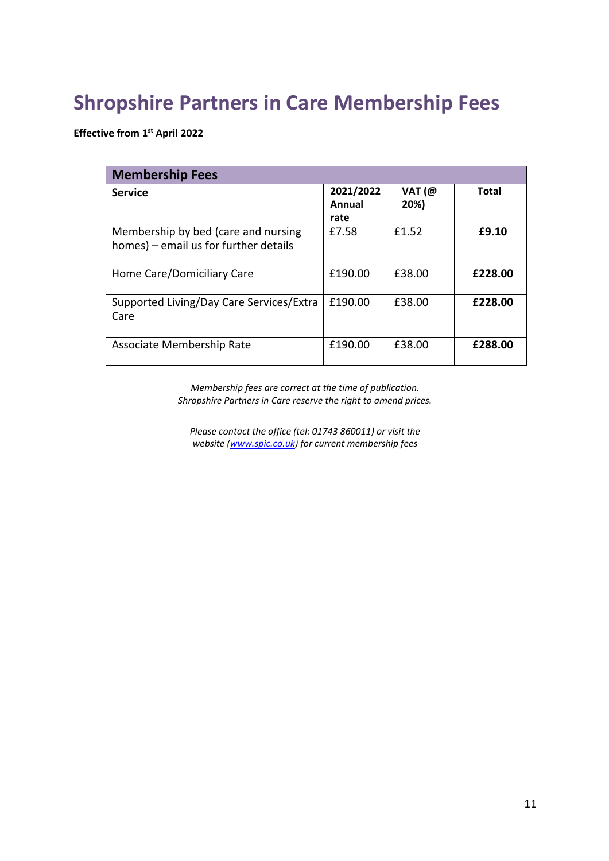# **Shropshire Partners in Care Membership Fees**

**Effective from 1st April 2022**

| <b>Membership Fees</b>                                                       |                             |                |              |
|------------------------------------------------------------------------------|-----------------------------|----------------|--------------|
| <b>Service</b>                                                               | 2021/2022<br>Annual<br>rate | VAT(@)<br>20%) | <b>Total</b> |
| Membership by bed (care and nursing<br>homes) – email us for further details | £7.58                       | £1.52          | £9.10        |
| Home Care/Domiciliary Care                                                   | £190.00                     | £38.00         | £228.00      |
| Supported Living/Day Care Services/Extra<br>Care                             | £190.00                     | £38.00         | £228.00      |
| Associate Membership Rate                                                    | £190.00                     | £38.00         | £288.00      |

*Membership fees are correct at the time of publication. Shropshire Partners in Care reserve the right to amend prices.*

*Please contact the office (tel: 01743 860011) or visit the website [\(www.spic.co.uk\)](http://www.spic.co.uk/) for current membership fees*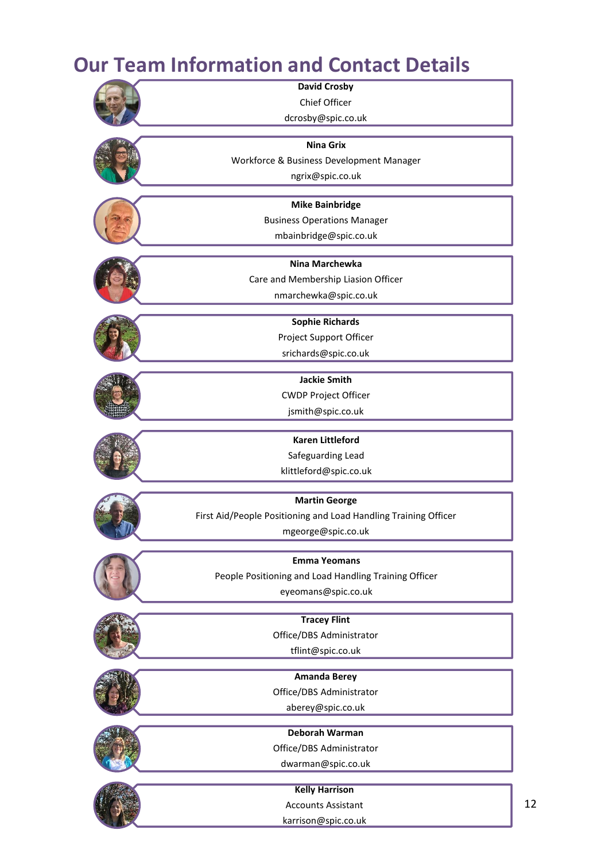# **Our Team Information and Contact Details**



12